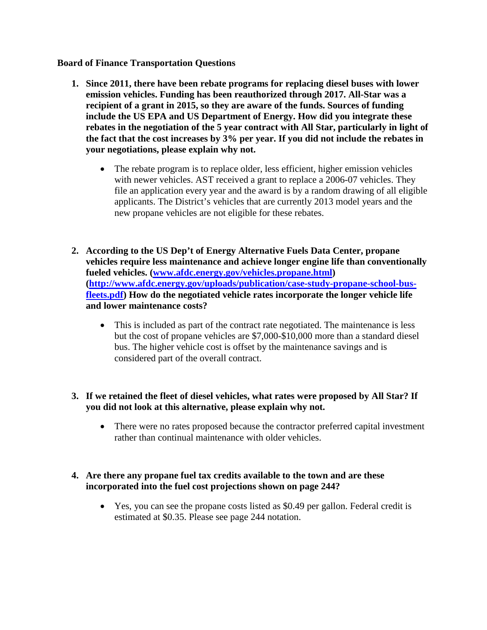#### **Board of Finance Transportation Questions**

- **1. Since 2011, there have been rebate programs for replacing diesel buses with lower emission vehicles. Funding has been reauthorized through 2017. All-Star was a recipient of a grant in 2015, so they are aware of the funds. Sources of funding include the US EPA and US Department of Energy. How did you integrate these rebates in the negotiation of the 5 year contract with All Star, particularly in light of the fact that the cost increases by 3% per year. If you did not include the rebates in your negotiations, please explain why not.**
	- The rebate program is to replace older, less efficient, higher emission vehicles with newer vehicles. AST received a grant to replace a 2006-07 vehicles. They file an application every year and the award is by a random drawing of all eligible applicants. The District's vehicles that are currently 2013 model years and the new propane vehicles are not eligible for these rebates.
- **2. According to the US Dep't of Energy Alternative Fuels Data Center, propane vehicles require less maintenance and achieve longer engine life than conventionally fueled vehicles. [\(www.afdc.energy.gov/vehicles.propane.html\)](http://www.afdc.energy.gov/vehicles.propane.html) [\(http://www.afdc.energy.gov/uploads/publication/case-study-propane-school-bus](http://www.afdc.energy.gov/uploads/publication/case-study-propane-school-bus-fleets.pdf)[fleets.pdf\)](http://www.afdc.energy.gov/uploads/publication/case-study-propane-school-bus-fleets.pdf) How do the negotiated vehicle rates incorporate the longer vehicle life and lower maintenance costs?** 
	- This is included as part of the contract rate negotiated. The maintenance is less but the cost of propane vehicles are \$7,000-\$10,000 more than a standard diesel bus. The higher vehicle cost is offset by the maintenance savings and is considered part of the overall contract.
- **3. If we retained the fleet of diesel vehicles, what rates were proposed by All Star? If you did not look at this alternative, please explain why not.**
	- There were no rates proposed because the contractor preferred capital investment rather than continual maintenance with older vehicles.

# **4. Are there any propane fuel tax credits available to the town and are these incorporated into the fuel cost projections shown on page 244?**

• Yes, you can see the propane costs listed as \$0.49 per gallon. Federal credit is estimated at \$0.35. Please see page 244 notation.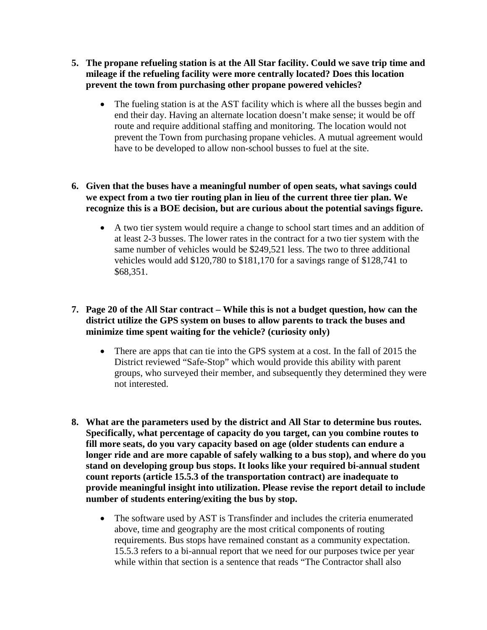- **5. The propane refueling station is at the All Star facility. Could we save trip time and mileage if the refueling facility were more centrally located? Does this location prevent the town from purchasing other propane powered vehicles?**
	- The fueling station is at the AST facility which is where all the busses begin and end their day. Having an alternate location doesn't make sense; it would be off route and require additional staffing and monitoring. The location would not prevent the Town from purchasing propane vehicles. A mutual agreement would have to be developed to allow non-school busses to fuel at the site.

# **6. Given that the buses have a meaningful number of open seats, what savings could we expect from a two tier routing plan in lieu of the current three tier plan. We recognize this is a BOE decision, but are curious about the potential savings figure.**

• A two tier system would require a change to school start times and an addition of at least 2-3 busses. The lower rates in the contract for a two tier system with the same number of vehicles would be \$249,521 less. The two to three additional vehicles would add \$120,780 to \$181,170 for a savings range of \$128,741 to \$68,351.

### **7. Page 20 of the All Star contract – While this is not a budget question, how can the district utilize the GPS system on buses to allow parents to track the buses and minimize time spent waiting for the vehicle? (curiosity only)**

- There are apps that can tie into the GPS system at a cost. In the fall of 2015 the District reviewed "Safe-Stop" which would provide this ability with parent groups, who surveyed their member, and subsequently they determined they were not interested.
- **8. What are the parameters used by the district and All Star to determine bus routes. Specifically, what percentage of capacity do you target, can you combine routes to fill more seats, do you vary capacity based on age (older students can endure a longer ride and are more capable of safely walking to a bus stop), and where do you stand on developing group bus stops. It looks like your required bi-annual student count reports (article 15.5.3 of the transportation contract) are inadequate to provide meaningful insight into utilization. Please revise the report detail to include number of students entering/exiting the bus by stop.**
	- The software used by AST is Transfinder and includes the criteria enumerated above, time and geography are the most critical components of routing requirements. Bus stops have remained constant as a community expectation. 15.5.3 refers to a bi-annual report that we need for our purposes twice per year while within that section is a sentence that reads "The Contractor shall also